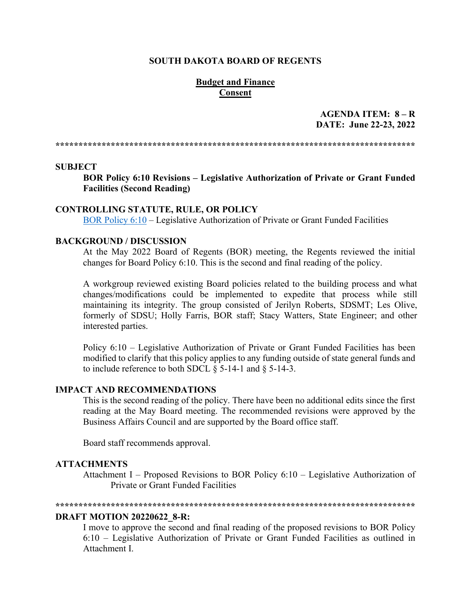### **SOUTH DAKOTA BOARD OF REGENTS**

### **Budget and Finance Consent**

AGENDA ITEM:  $8 - R$ DATE: June 22-23, 2022

#### **SUBJECT**

BOR Policy 6:10 Revisions – Legislative Authorization of Private or Grant Funded **Facilities (Second Reading)** 

#### **CONTROLLING STATUTE, RULE, OR POLICY**

BOR Policy 6:10 – Legislative Authorization of Private or Grant Funded Facilities

### **BACKGROUND / DISCUSSION**

At the May 2022 Board of Regents (BOR) meeting, the Regents reviewed the initial changes for Board Policy 6:10. This is the second and final reading of the policy.

A workgroup reviewed existing Board policies related to the building process and what changes/modifications could be implemented to expedite that process while still maintaining its integrity. The group consisted of Jerilyn Roberts, SDSMT; Les Olive, formerly of SDSU; Holly Farris, BOR staff; Stacy Watters, State Engineer; and other interested parties.

Policy 6:10 – Legislative Authorization of Private or Grant Funded Facilities has been modified to clarify that this policy applies to any funding outside of state general funds and to include reference to both SDCL  $\S$  5-14-1 and  $\S$  5-14-3.

### **IMPACT AND RECOMMENDATIONS**

This is the second reading of the policy. There have been no additional edits since the first reading at the May Board meeting. The recommended revisions were approved by the Business Affairs Council and are supported by the Board office staff.

Board staff recommends approval.

#### **ATTACHMENTS**

Attachment I – Proposed Revisions to BOR Policy  $6:10$  – Legislative Authorization of Private or Grant Funded Facilities

#### 

### **DRAFT MOTION 20220622 8-R:**

I move to approve the second and final reading of the proposed revisions to BOR Policy 6:10 – Legislative Authorization of Private or Grant Funded Facilities as outlined in Attachment L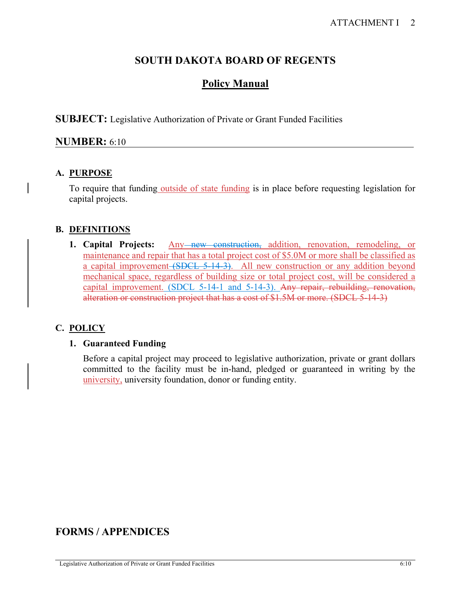## **SOUTH DAKOTA BOARD OF REGENTS**

# **Policy Manual**

**SUBJECT:** Legislative Authorization of Private or Grant Funded Facilities

## **NUMBER:** 6:10

## **A. PURPOSE**

To require that funding outside of state funding is in place before requesting legislation for capital projects.

## **B. DEFINITIONS**

**1. Capital Projects:** Any<del> new construction,</del> addition, renovation, remodeling, or maintenance and repair that has a total project cost of \$5.0M or more shall be classified as a capital improvement (SDCL 5-14-3). All new construction or any addition beyond mechanical space, regardless of building size or total project cost, will be considered a capital improvement. (SDCL 5-14-1 and 5-14-3). Any repair, rebuilding, renovation, alteration or construction project that has a cost of \$1.5M or more. (SDCL 5-14-3)

## **C. POLICY**

### **1. Guaranteed Funding**

Before a capital project may proceed to legislative authorization, private or grant dollars committed to the facility must be in-hand, pledged or guaranteed in writing by the university, university foundation, donor or funding entity.

## **FORMS / APPENDICES**